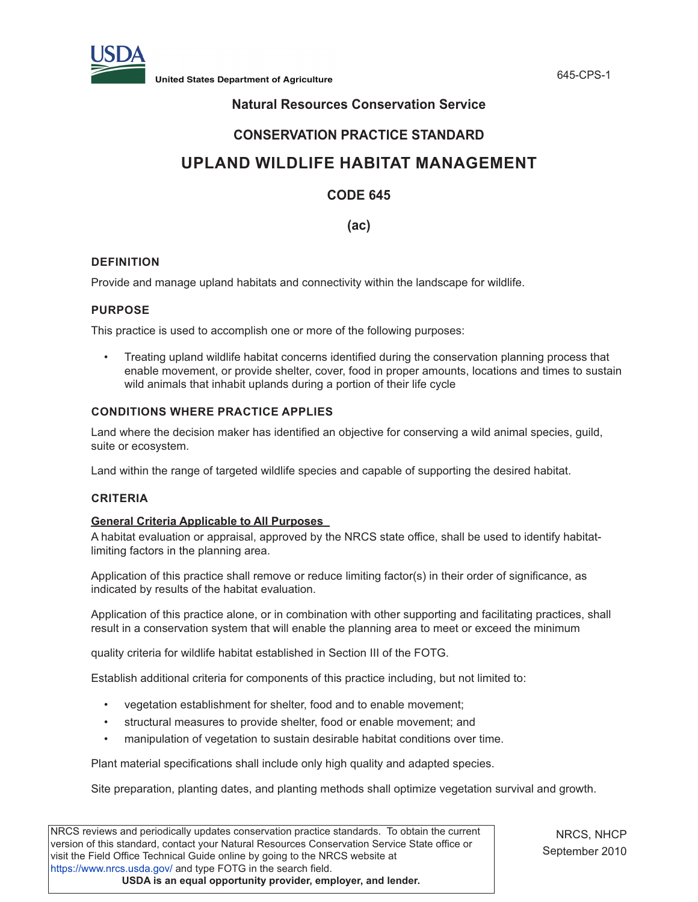

**United States Department of Agriculture** 645-CPS-1

# **Natural Resources Conservation Service**

# **CONSERVATION PRACTICE STANDARD**

# **UPLAND WILDLIFE HABITAT MANAGEMENT**

# **CODE 645**

# **(ac)**

# **DEFINITION**

Provide and manage upland habitats and connectivity within the landscape for wildlife.

## **PURPOSE**

This practice is used to accomplish one or more of the following purposes:

• Treating upland wildlife habitat concerns identified during the conservation planning process that enable movement, or provide shelter, cover, food in proper amounts, locations and times to sustain wild animals that inhabit uplands during a portion of their life cycle

# **CONDITIONS WHERE PRACTICE APPLIES**

Land where the decision maker has identified an objective for conserving a wild animal species, guild, suite or ecosystem.

Land within the range of targeted wildlife species and capable of supporting the desired habitat.

### **CRITERIA**

### **General Criteria Applicable to All Purposes**

A habitat evaluation or appraisal, approved by the NRCS state office, shall be used to identify habitatlimiting factors in the planning area.

Application of this practice shall remove or reduce limiting factor(s) in their order of significance, as indicated by results of the habitat evaluation.

Application of this practice alone, or in combination with other supporting and facilitating practices, shall result in a conservation system that will enable the planning area to meet or exceed the minimum

quality criteria for wildlife habitat established in Section III of the FOTG.

Establish additional criteria for components of this practice including, but not limited to:

- vegetation establishment for shelter, food and to enable movement;
- structural measures to provide shelter, food or enable movement; and
- manipulation of vegetation to sustain desirable habitat conditions over time.

Plant material specifications shall include only high quality and adapted species.

Site preparation, planting dates, and planting methods shall optimize vegetation survival and growth.

| version of this standard, contact your Natural Resources Conservation Service State office or<br>visit the Field Office Technical Guide online by going to the NRCS website at |
|--------------------------------------------------------------------------------------------------------------------------------------------------------------------------------|
| https://www.nrcs.usda.gov/ and type FOTG in the search field.                                                                                                                  |
|                                                                                                                                                                                |
| USDA is an equal opportunity provider, employer, and lender.                                                                                                                   |

NRCS, NHCP September 2010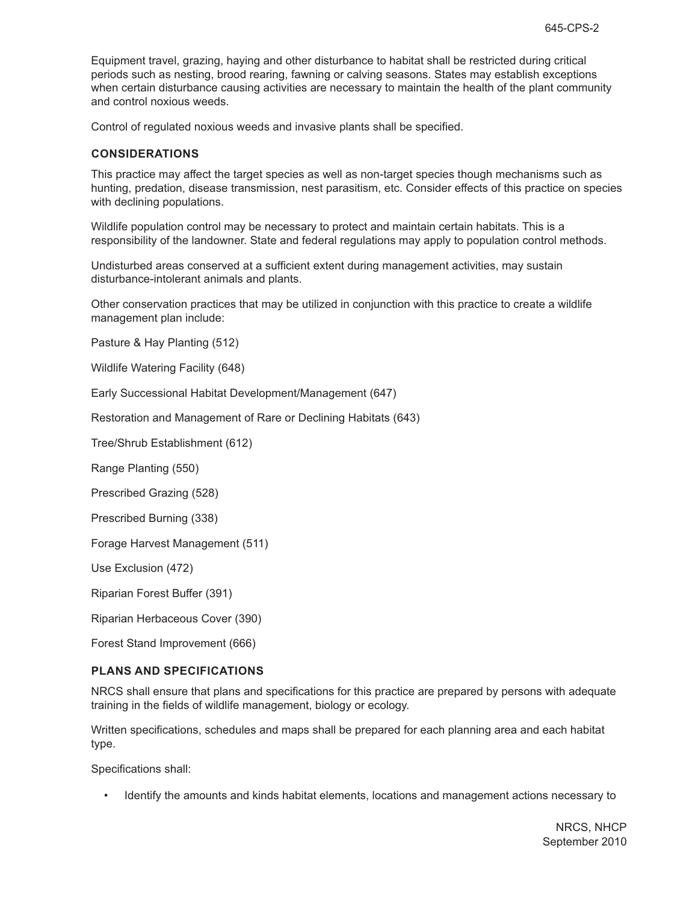Equipment travel, grazing, haying and other disturbance to habitat shall be restricted during critical periods such as nesting, brood rearing, fawning or calving seasons. States may establish exceptions when certain disturbance causing activities are necessary to maintain the health of the plant community and control noxious weeds.

Control of regulated noxious weeds and invasive plants shall be specified.

## **CONSIDERATIONS**

This practice may affect the target species as well as non-target species though mechanisms such as hunting, predation, disease transmission, nest parasitism, etc. Consider effects of this practice on species with declining populations.

Wildlife population control may be necessary to protect and maintain certain habitats. This is a responsibility of the landowner. State and federal regulations may apply to population control methods.

Undisturbed areas conserved at a sufficient extent during management activities, may sustain disturbance-intolerant animals and plants.

Other conservation practices that may be utilized in conjunction with this practice to create a wildlife management plan include:

Pasture & Hay Planting (512)

Wildlife Watering Facility (648)

Early Successional Habitat Development/Management (647)

Restoration and Management of Rare or Declining Habitats (643)

Tree/Shrub Establishment (612)

Range Planting (550)

Prescribed Grazing (528)

Prescribed Burning (338)

Forage Harvest Management (511)

Use Exclusion (472)

Riparian Forest Buffer (391)

Riparian Herbaceous Cover (390)

Forest Stand Improvement (666)

### **PLANS AND SPECIFICATIONS**

NRCS shall ensure that plans and specifications for this practice are prepared by persons with adequate training in the fields of wildlife management, biology or ecology.

Written specifications, schedules and maps shall be prepared for each planning area and each habitat type.

Specifications shall:

• Identify the amounts and kinds habitat elements, locations and management actions necessary to